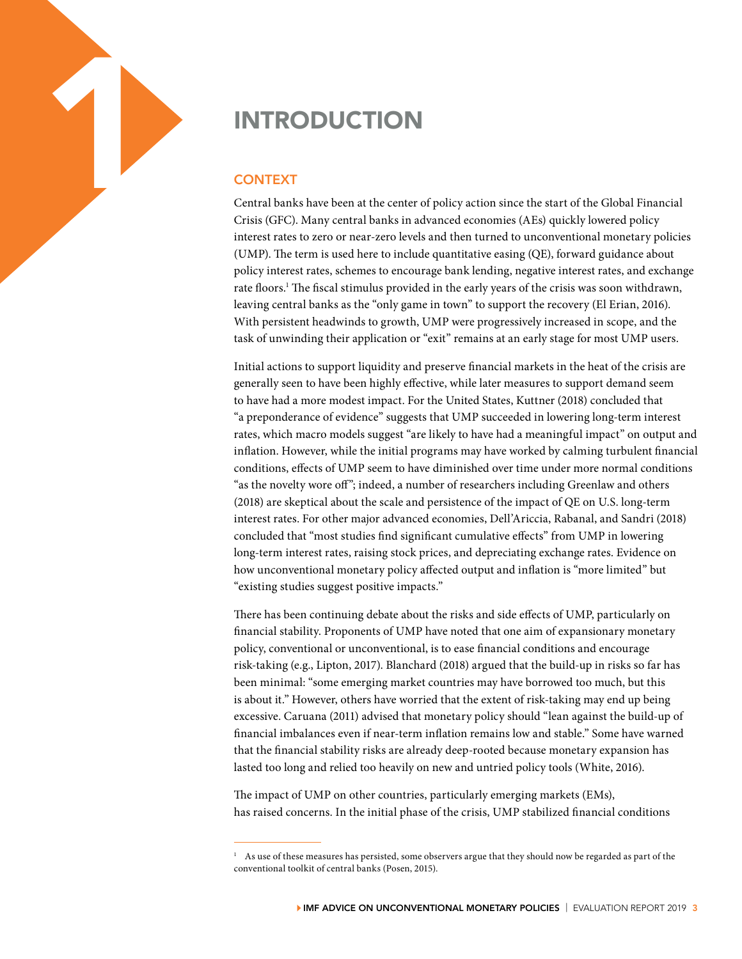

## **CONTEXT**

Central banks have been at the center of policy action since the start of the Global Financial Crisis (GFC). Many central banks in advanced economies (AEs) quickly lowered policy interest rates to zero or near-zero levels and then turned to unconventional monetary policies (UMP). The term is used here to include quantitative easing (QE), forward guidance about policy interest rates, schemes to encourage bank lending, negative interest rates, and exchange rate floors.<sup>1</sup> The fiscal stimulus provided in the early years of the crisis was soon withdrawn, leaving central banks as the "only game in town" to support the recovery (El Erian, 2016). With persistent headwinds to growth, UMP were progressively increased in scope, and the task of unwinding their application or "exit" remains at an early stage for most UMP users.

Initial actions to support liquidity and preserve financial markets in the heat of the crisis are generally seen to have been highly effective, while later measures to support demand seem to have had a more modest impact. For the United States, Kuttner (2018) concluded that "a preponderance of evidence" suggests that UMP succeeded in lowering long-term interest rates, which macro models suggest "are likely to have had a meaningful impact" on output and inflation. However, while the initial programs may have worked by calming turbulent financial conditions, effects of UMP seem to have diminished over time under more normal conditions "as the novelty wore off"; indeed, a number of researchers including Greenlaw and others (2018) are skeptical about the scale and persistence of the impact of QE on U.S. long-term interest rates. For other major advanced economies, Dell'Ariccia, Rabanal, and Sandri (2018) concluded that "most studies find significant cumulative effects" from UMP in lowering long-term interest rates, raising stock prices, and depreciating exchange rates. Evidence on how unconventional monetary policy affected output and inflation is "more limited" but "existing studies suggest positive impacts."

There has been continuing debate about the risks and side effects of UMP, particularly on financial stability. Proponents of UMP have noted that one aim of expansionary monetary policy, conventional or unconventional, is to ease financial conditions and encourage risk-taking (e.g., Lipton, 2017). Blanchard (2018) argued that the build-up in risks so far has been minimal: "some emerging market countries may have borrowed too much, but this is about it." However, others have worried that the extent of risk-taking may end up being excessive. Caruana (2011) advised that monetary policy should "lean against the build-up of financial imbalances even if near-term inflation remains low and stable." Some have warned that the financial stability risks are already deep-rooted because monetary expansion has lasted too long and relied too heavily on new and untried policy tools (White, 2016).

The impact of UMP on other countries, particularly emerging markets (EMs), has raised concerns. In the initial phase of the crisis, UMP stabilized financial conditions

 $1$  As use of these measures has persisted, some observers argue that they should now be regarded as part of the conventional toolkit of central banks (Posen, 2015).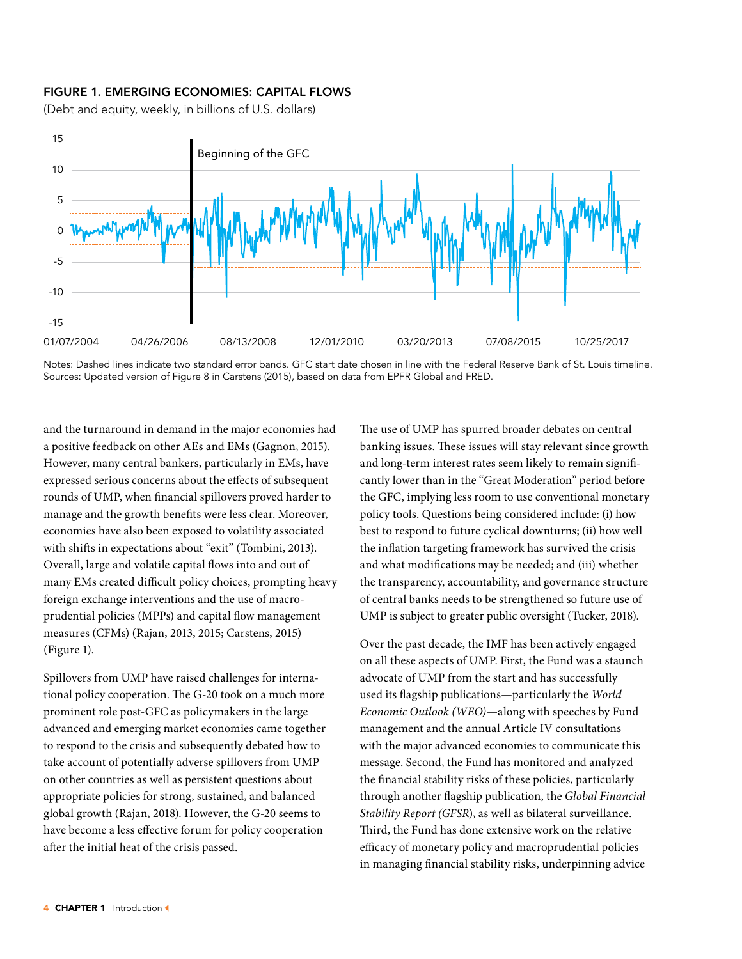## FIGURE 1. EMERGING ECONOMIES: CAPITAL FLOWS

(Debt and equity, weekly, in billions of U.S. dollars)





and the turnaround in demand in the major economies had a positive feedback on other AEs and EMs (Gagnon, 2015). However, many central bankers, particularly in EMs, have expressed serious concerns about the effects of subsequent rounds of UMP, when financial spillovers proved harder to manage and the growth benefits were less clear. Moreover, economies have also been exposed to volatility associated with shifts in expectations about "exit" (Tombini, 2013). Overall, large and volatile capital flows into and out of many EMs created difficult policy choices, prompting heavy foreign exchange interventions and the use of macroprudential policies (MPPs) and capital flow management measures (CFMs) (Rajan, 2013, 2015; Carstens, 2015) (Figure 1).

Spillovers from UMP have raised challenges for international policy cooperation. The G-20 took on a much more prominent role post-GFC as policymakers in the large advanced and emerging market economies came together to respond to the crisis and subsequently debated how to take account of potentially adverse spillovers from UMP on other countries as well as persistent questions about appropriate policies for strong, sustained, and balanced global growth (Rajan, 2018). However, the G-20 seems to have become a less effective forum for policy cooperation after the initial heat of the crisis passed.

The use of UMP has spurred broader debates on central banking issues. These issues will stay relevant since growth and long-term interest rates seem likely to remain significantly lower than in the "Great Moderation" period before the GFC, implying less room to use conventional monetary policy tools. Questions being considered include: (i) how best to respond to future cyclical downturns; (ii) how well the inflation targeting framework has survived the crisis and what modifications may be needed; and (iii) whether the transparency, accountability, and governance structure of central banks needs to be strengthened so future use of UMP is subject to greater public oversight (Tucker, 2018).

Over the past decade, the IMF has been actively engaged on all these aspects of UMP. First, the Fund was a staunch advocate of UMP from the start and has successfully used its flagship publications—particularly the *World Economic Outlook (WEO)*—along with speeches by Fund management and the annual Article IV consultations with the major advanced economies to communicate this message. Second, the Fund has monitored and analyzed the financial stability risks of these policies, particularly through another flagship publication, the *Global Financial Stability Report (GFSR*), as well as bilateral surveillance. Third, the Fund has done extensive work on the relative efficacy of monetary policy and macroprudential policies in managing financial stability risks, underpinning advice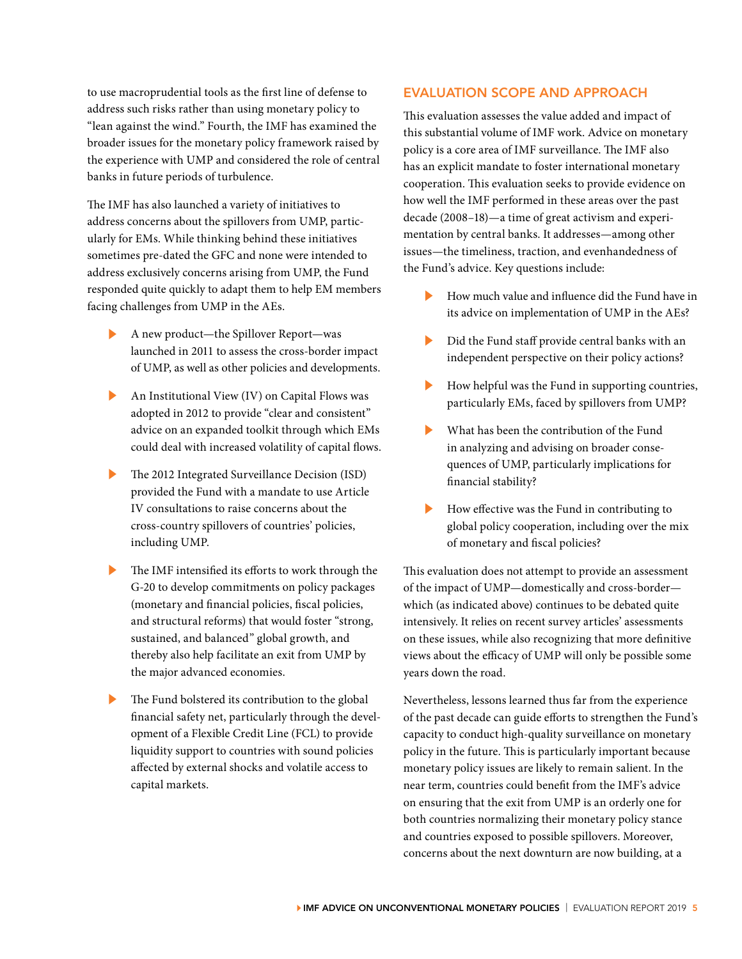to use macroprudential tools as the first line of defense to address such risks rather than using monetary policy to "lean against the wind." Fourth, the IMF has examined the broader issues for the monetary policy framework raised by the experience with UMP and considered the role of central banks in future periods of turbulence.

The IMF has also launched a variety of initiatives to address concerns about the spillovers from UMP, particularly for EMs. While thinking behind these initiatives sometimes pre-dated the GFC and none were intended to address exclusively concerns arising from UMP, the Fund responded quite quickly to adapt them to help EM members facing challenges from UMP in the AEs.

- ▶ A new product—the Spillover Report—was launched in 2011 to assess the cross-border impact of UMP, as well as other policies and developments.
- ▶ An Institutional View (IV) on Capital Flows was adopted in 2012 to provide "clear and consistent" advice on an expanded toolkit through which EMs could deal with increased volatility of capital flows.
- The 2012 Integrated Surveillance Decision (ISD) provided the Fund with a mandate to use Article IV consultations to raise concerns about the cross-country spillovers of countries' policies, including UMP.
- ▶ The IMF intensified its efforts to work through the G-20 to develop commitments on policy packages (monetary and financial policies, fiscal policies, and structural reforms) that would foster "strong, sustained, and balanced" global growth, and thereby also help facilitate an exit from UMP by the major advanced economies.
- The Fund bolstered its contribution to the global financial safety net, particularly through the development of a Flexible Credit Line (FCL) to provide liquidity support to countries with sound policies affected by external shocks and volatile access to capital markets.

## EVALUATION SCOPE AND APPROACH

This evaluation assesses the value added and impact of this substantial volume of IMF work. Advice on monetary policy is a core area of IMF surveillance. The IMF also has an explicit mandate to foster international monetary cooperation. This evaluation seeks to provide evidence on how well the IMF performed in these areas over the past decade (2008–18)—a time of great activism and experimentation by central banks. It addresses—among other issues—the timeliness, traction, and evenhandedness of the Fund's advice. Key questions include:

- ▶ How much value and influence did the Fund have in its advice on implementation of UMP in the AEs?
- ▶ Did the Fund staff provide central banks with an independent perspective on their policy actions?
- How helpful was the Fund in supporting countries, particularly EMs, faced by spillovers from UMP?
- What has been the contribution of the Fund in analyzing and advising on broader consequences of UMP, particularly implications for financial stability?
- How effective was the Fund in contributing to global policy cooperation, including over the mix of monetary and fiscal policies?

This evaluation does not attempt to provide an assessment of the impact of UMP—domestically and cross-border which (as indicated above) continues to be debated quite intensively. It relies on recent survey articles' assessments on these issues, while also recognizing that more definitive views about the efficacy of UMP will only be possible some years down the road.

Nevertheless, lessons learned thus far from the experience of the past decade can guide efforts to strengthen the Fund's capacity to conduct high-quality surveillance on monetary policy in the future. This is particularly important because monetary policy issues are likely to remain salient. In the near term, countries could benefit from the IMF's advice on ensuring that the exit from UMP is an orderly one for both countries normalizing their monetary policy stance and countries exposed to possible spillovers. Moreover, concerns about the next downturn are now building, at a